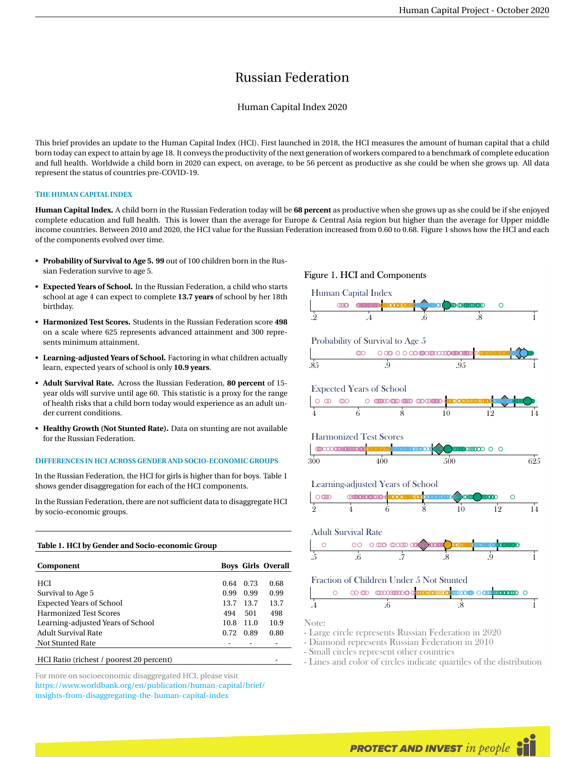# Russian Federation

# Human Capital Index 2020

This brief provides an update to the Human Capital Index (HCI). First launched in 2018, the HCI measures the amount of human capital that a child born today can expect to attain by age 18. It conveys the productivity of the next generation of workers compared to a benchmark of complete education and full health. Worldwide a child born in 2020 can expect, on average, to be 56 percent as productive as she could be when she grows up. All data represent the status of countries pre-COVID-19.

## **THE HUMAN CAPITAL INDEX**

**Human Capital Index.** A child born in the Russian Federation today will be **68 percent** as productive when she grows up as she could be if she enjoyed complete education and full health. This is lower than the average for Europe & Central Asia region but higher than the average for Upper middle income countries. Between 2010 and 2020, the HCI value for the Russian Federation increased from 0.60 to 0.68. Figure 1 shows how the HCI and each of the components evolved over time.

- **Probability of Survival to Age 5. 99** out of 100 children born in the Russian Federation survive to age 5.
- **Expected Years of School.** In the Russian Federation, a child who starts school at age 4 can expect to complete **13.7 years** of school by her 18th birthday.
- **Harmonized Test Scores.** Students in the Russian Federation score **498** on a scale where 625 represents advanced attainment and 300 represents minimum attainment.
- **Learning-adjusted Years of School.** Factoring in what children actually learn, expected years of school is only **10.9 years**.
- **Adult Survival Rate.** Across the Russian Federation, **80 percent** of 15 year olds will survive until age 60. This statistic is a proxy for the range of health risks that a child born today would experience as an adult under current conditions.
- **Healthy Growth (Not Stunted Rate).** Data on stunting are not available for the Russian Federation.

#### **DIFFERENCES IN HCI ACROSS GENDER AND SOCIO-ECONOMIC GROUPS**

In the Russian Federation, the HCI for girls is higher than for boys. Table 1 shows gender disaggregation for each of the HCI components.

In the Russian Federation, there are not sufficient data to disaggregate HCI by socio-economic groups.

# **Table 1. HCI by Gender and Socio-economic Group**

| Component                                |      |      | <b>Boys Girls Overall</b> |
|------------------------------------------|------|------|---------------------------|
| <b>HCI</b>                               | 0.64 | 0.73 | 0.68                      |
| Survival to Age 5                        | 0.99 | 0.99 | 0.99                      |
| <b>Expected Years of School</b>          | 13.7 | 13.7 | 13.7                      |
| <b>Harmonized Test Scores</b>            | 494  | 501  | 498                       |
| Learning-adjusted Years of School        | 10.8 | 11.0 | 10.9                      |
| Adult Survival Rate                      | 0.72 | 0.89 | 0.80                      |
| Not Stunted Rate                         |      |      |                           |
| HCI Ratio (richest / poorest 20 percent) |      |      |                           |

For more on socioeconomic disaggregated HCI, please visit [https://www.worldbank.org/en/publication/human-capital/brief/](https://www.worldbank.org/en/publication/human-capital/brief/insights-from-disaggregating-the-human-capital-index) [insights-from-disaggregating-the-human-capital-index](https://www.worldbank.org/en/publication/human-capital/brief/insights-from-disaggregating-the-human-capital-index)

#### Figure 1. HCI and Components